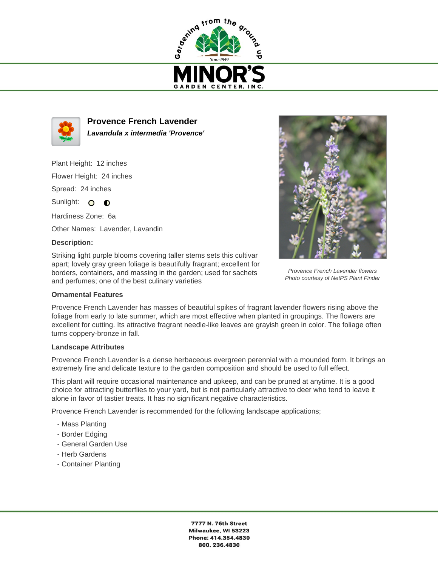



**Provence French Lavender Lavandula x intermedia 'Provence'**

Plant Height: 12 inches Flower Height: 24 inches

Spread: 24 inches

Sunlight: O **O** 

Hardiness Zone: 6a

Other Names: Lavender, Lavandin

## **Description:**

Striking light purple blooms covering taller stems sets this cultivar apart; lovely gray green foliage is beautifully fragrant; excellent for borders, containers, and massing in the garden; used for sachets and perfumes; one of the best culinary varieties





Provence French Lavender flowers Photo courtesy of NetPS Plant Finder

## **Landscape Attributes**

Provence French Lavender is a dense herbaceous evergreen perennial with a mounded form. It brings an extremely fine and delicate texture to the garden composition and should be used to full effect.

This plant will require occasional maintenance and upkeep, and can be pruned at anytime. It is a good choice for attracting butterflies to your yard, but is not particularly attractive to deer who tend to leave it alone in favor of tastier treats. It has no significant negative characteristics.

Provence French Lavender is recommended for the following landscape applications;

- Mass Planting
- Border Edging
- General Garden Use
- Herb Gardens
- Container Planting

7777 N. 76th Street Milwaukee, WI 53223 Phone: 414.354.4830 800.236.4830